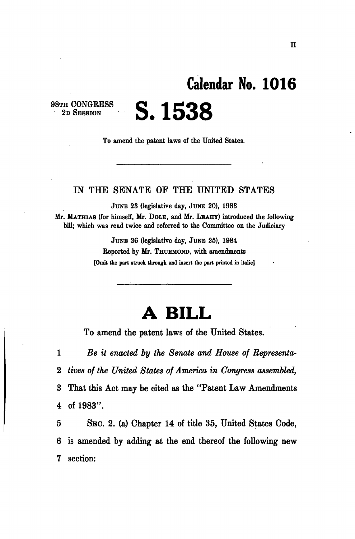## **Calendar No. 101 6 S. 1538**

98TH CONGRESS 2D SESSION

To amend the patent laws of the United States.

## IN THE SENATE OF THE UNITED STATES

JUNE 23 (legislative day, JUNE 20), 1983

Mr. MATHIAS (for himself, Mr. DOLE, and Mr. LEAHY) introduced the following bill; which was read twice and referred to the Committee on the Judiciary

> JUNE 26 (legislative day, JUNE 25), 1984 Reported by Mr. THURMOND, with amendments **[Omit the part struck through and insert the part printed in italic]**

## **A BILL**

To amend the patent laws of the United States.

 $\mathbf{1}$ *Be it enacted by the Senate and House of Representa-* $\bf{2}$ *tives of the United States of America in Congress assembled,*   $\bf{3}$ That this Act may be cited as the "Patent Law Amendments  $\overline{\mathbf{4}}$ of 1983".

 $\overline{5}$ SEC. 2. (a) Chapter 14 of title 35, United States Code, is amended by adding at the end thereof the following new 6 section: 7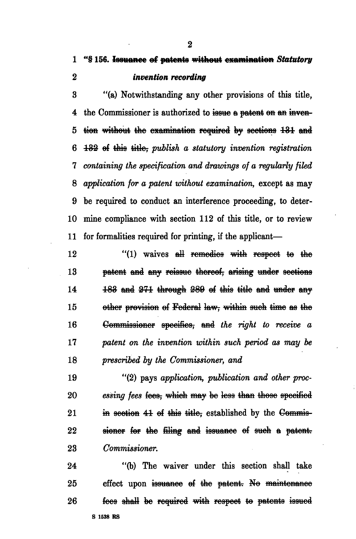1 "§ **156. Issuance ef patents without examination** *Statutory*  2 *invention recording* 

3 "(a) Notwithstanding any other provisions of this title, 4 the Commissioner is authorized to issue a patent on an inven-5 tion without the examination required by sections 131 and 6 1&2- ef this title? *publish a statutory invention registration*  7 *containing the specification and drawings of a regularly filed*  8 *application for a patent without examination,* except as may 9 be required to conduct an interference proceeding, to deter-10 mine compliance with section 112 of this title, or to review 11 for formalities required for printing, if the applicant—

12 "(1) waives all remedies with respect to the 13 patent and any reissue thereof, arising under sections  $14$   $183$  and  $271$  through  $289$  of this title and under any 15 other provision of Federal law, within such time as the 16 Commissioner specifics, and *the right to receive a*  17 *patent on the invention within such period as may be*  18 *prescribed by the Commissioner, and* 

19 "(2) pays *application, publication and other proc-*20 essing fees fees, which may be less than those specified 21 in section 41 of this title, established by the Commis-22 sioner for the filing and issuance of such a patent. 23 *Commissioner.* 

24 "(b) The waiver under this section shall take 25 effect upon issuance of the patent. No maintenance 26 **fees shall be required with respect to patents issued S 1538 RS** 

2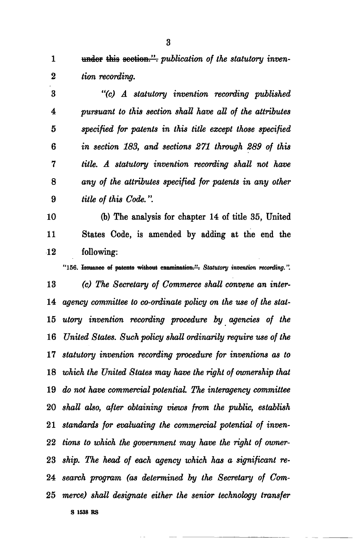1 under this section." *publication of the statutory inven- tion recording.* 

 *"(c) A statutory invention recording published pursuant to this section shall have all of the attributes 5 specified for patents in this title except those specified in section 183, and sections 271 through 289 of this title. A statutory invention recording shall not have any of the attributes specified for patents in any other title of this Code.".* 

10 (b) The analysis for chapter 14 of title 35, United 11 States Code, is amended by adding at the end the 12 following:

"156. Iaauanoo el patents without examination.". *Statutory invention recording.". (c) The Secretary of Commerce shall convene an inter-*14 agency committee to co-ordinate policy on the use of the stat- *utory invention recording procedure by agencies of the United States. Such policy shall ordinarily require use of the statutory invention recording procedure for inventions as to which the United States may have the right of ownership that do not have commercial potential. The interagency committee shall also, after obtaining views from the public, establish standards for evaluating the commercial potential of inven- tions to which the government may have the right of owner- ship. The head of each agency which has a significant re- search program (as determined by the Secretary of Com- merce) shall designate either the senior technology transfer*  **S 1538 RS**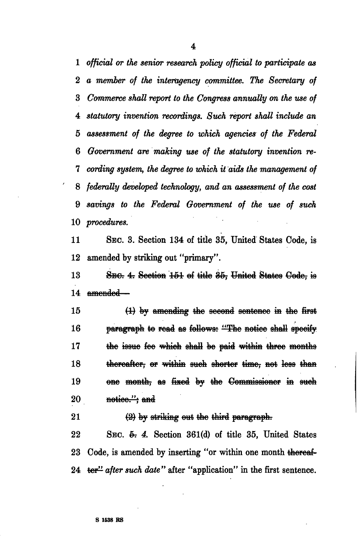*official or the senior research policy official to participate as a member of the interagency committee. The Secretary of Commerce shall report to the Congress annually on the use of statutory invention recordings. Such report shall include an assessment of the degree to which agencies of the Federal Government are making use of the statutory invention re- cording system, the degree to which it aids the management of federally developed technology, and an assessment of the cost savings to the Federal Government of the use of such procedures.* 

11 SEC. 3. Section 134 of title 35, United States Code, is 12 amended by striking out "primary".

13 SBC: 4: Scetion 151 of title 35, United States Code, is 14 amended—

15 (i) by amending the second sontenoe *m* the first 16 **paragraph to read as follows: "The notice shall specify** 17 the issue fee which shall be paid within throo months 18 thereafter, or within such shorter time, not less than 19 ene month, as fixed by the Commissioner in such 20 notice."; and

 $21$   $(2)$  by striking out the third paragraph.

22 SEC. 5. 4. Section 361(d) of title 35, United States 23 Code, is amended by inserting "or within one month thereaf-24 ter<sup>11</sup> after such date" after "application" in the first sentence.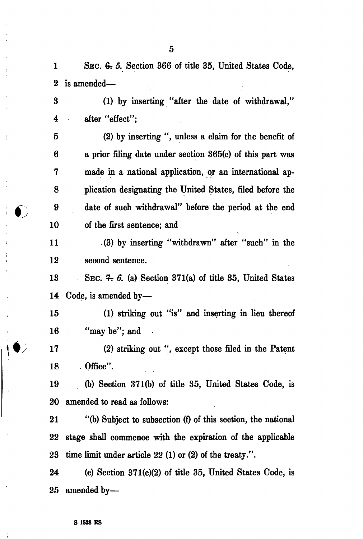1 SEC. *& 5.* Section 366 of title 35, United States Code, 2 is amended—

3 (1) by inserting "after the date of withdrawal," 4 after "effect";

5 (2) by inserting ", unless a claim for the benefit of 6 a prior filing date under section 365(c) of this part was 7 made in a national application, or an international ap-8 plication designating the United States, filed before the 9 date of such withdrawal" before the period at the end 10 of the first sentence; and

11 (3) by inserting "withdrawn" after "such" in the 12 second sentence.

13 SEC.  $4.6$ . (a) Section 371(a) of title 35, United States 14 Code, is amended by—

15 (1) striking out "is" and inserting in lieu thereof 16 "may be"; and

17 (2) striking out ", except those filed in the Patent  $18$  . Office".

19 (b) Section 371(b) of title 35, United States Code, is 20 amended to read as follows:

21 "(b) Subject to subsection (f) of this section, the national 22 stage shall commence with the expiration of the applicable 23 time limit under article 22 (1) or (2) of the treaty.".

24 (c) Section 371(c)(2) of title 35, United States Code, is 25 amended by—

Ŧ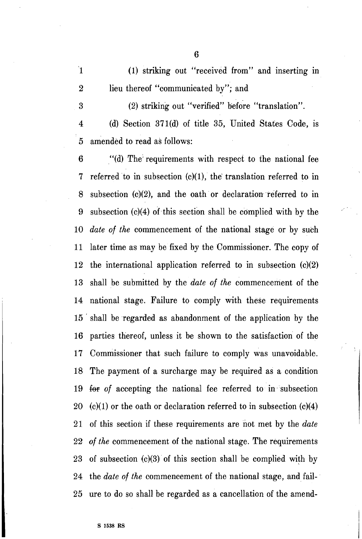'1 (1) striking out "received from" and inserting in 2 lieu thereof "communicated by"; and

3 (2) striking out "verified" before "translation".

4 (d) Section 371(d) of title 35, United States Code, is 5 amended to read as follows:

**6** "(d) The'requirements with respect to the national fee 7 referred to in subsection (c)(l), the' translation referred to in 8 subsection (c)(2), and the oath or declaration referred to in 9 subsection  $(c)(4)$  of this section shall be complied with by the 10 *date* of *the* commencement of the national stage or by such 11 later time as may be fixed by the Commissioner. The copy of 12 the international application referred to in subsection (c)(2) 13 shall be submitted by the *date of the commencement* of the national stage. Failure to comply with these requirements 14 shall be regarded as abandonment of the application by the 15 parties thereof, unless it be shown to the satisfaction of the 16  $17$ Commissioner that such failure to comply was unavoidable. 18 The payment of a surcharge may be required as a condition for of accepting the national fee referred to in subsection 19 20  $(c)(1)$  or the oath or declaration referred to in subsection  $(c)(4)$ of this section if these requirements are not met by the *date*  21 of *the* commencement of the national stage. The requirements 22 23 of subsection  $(c)(3)$  of this section shall be complied with by 24 the *date* of *the* commencement of the national stage, and fail-25 ure to do so shall be regarded as a cancellation of the amend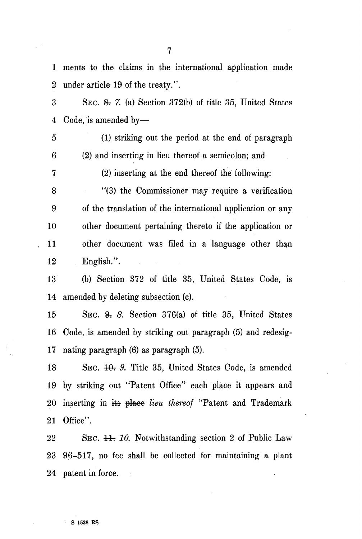1 ments to the claims in the international application made 2 under article 19 of the treaty.".

3 SEC. & **7.** (a) Section 372(b) of title 35, United States 4 Code, is amended by-

5 (1) striking out the period at the end of paragraph 6 (2) and inserting in lieu thereof a semicolon; and

7 (2) inserting at the end thereof the' following:

8 "(3) the Commissioner may require a verification 9 of the translation of the international application or any 10 other document pertaining thereto if the application or 11 other document was filed in a language other than 12 English.".

13 (b) Section 372 of title 35, United States Code, is 14 amended by deleting subsection (c).

15 SEC.  $\theta$ . 8. Section 376(a) of title 35, United States 16 Code, is amended by striking out paragraph (5) and redesig-17 nating paragraph (6) as paragraph (5).

18 SEC. 10. 9. Title 35, United States Code, is amended 19 by striking out "Patent Office" each place it appears and 20 inserting in its place *lieu thereof* "Patent and Trademark 21 Office".

22 SEC. 44: 10. Notwithstanding section 2 of Public Law 23 96-517, no fee shall be collected for maintaining a plant 24 patent in force.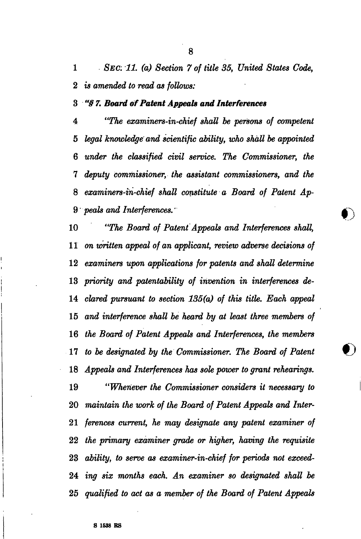*SEC: 11. (a) Section 7 of title 35, United States Code, is amended to read as follows:* 

 *"§ 7. Board of Patent Appeals and Interferences* 

 *"The examiners-in-chief shall be persons of competent legal knowledge and scientific ability, who shall be appointed under the classified civil service. The Commissioner, the deputy commissioner, the assistant commissioners, and the examiners-in-chief shall constitute a Board of Patent Ap- peals and Interferences.'* 

 *"The Board of Patent Appeals and Interferences shall, on written appeal of an applicant, review adverse decisions of examiners upon applications for patents and shall determine priority and patentability of invention in interferences de- clared pursuant to section 135(a) of this title. Each appeal and interference shall be heard by at least three members of the Board of Patent Appeals and Interferences, the members to be designated by the Commissioner. The Board of Patent Appeals and Interferences has sole power to grant rehearings. "Whenever the Commissioner considers it necessary to maintain the work of the Board of Patent Appeals and Inter- ferences current, he may designate any patent examiner of the primary examiner grade or higher, having the requisite ability, to serve as examiner-in-chief for periods not exceed- ing six months each. An examiner so designated shall be qualified to act as a member of the Board of Patent Appeals*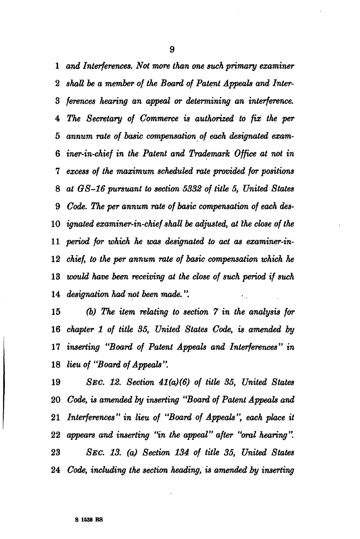*and Interferences. Not more than one such primary examiner 2 shall be a member of the Board of Patent Appeals and Inter- ferences hearing an appeal or determining an interference. The Secretary of Commerce is authorized to fix the per annum rate of basic compensation of each designated exam- iner-in-chief in the Patent and Trademark Office at not in excess of the maximum scheduled rate provided for positions at G8-16 pursuant to section 5332 of title 5, United States Code. The per annum rate of basic compensation of each des- ignated examiner-in-chief shall be adjusted, at the close of the period for which he was designated to act as examiner-in- chief, to the per annum rate of basic compensation which he would have been receiving at the close of such period if such designation had not been made.".* 

 *(b) The item relating to section 7 in the analysis for chapter 1 of title 35, United States Code, is amended by inserting "Board of Patent Appeals and Interferences" in lieu of "Board of Appeals ".* 

 *SEC. 12. Section 41(a)(6) of title 35, United States Code, is amended by inserting "Board of Patent Appeals and Interferences" in lieu of "Board of Appeals", each place it appears and inserting "in the appeal" after "oral hearing". SEC. 13. (a) Section 134 of title 35, United States Code, including the section heading, is amended by inserting*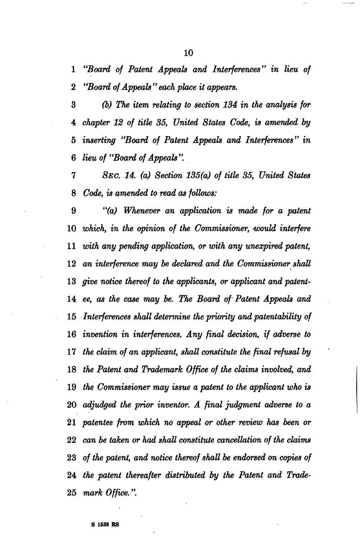*"Board of Patent Appeals and Interferences" in lieu of "Board of Appeals* " *each place it appears.* 

 *(b) The item relating to section 134 in the analysis for chapter 12 of title 35, United States Code, is amended by inserting "Board of Patent Appeals and Interferences" in lieu of "Board of Appeals ".* 

 *SEC. 14. (a) Section 135(a) of title 35, United States Code, is amended to read as follows:* 

 *"(a) Whenever an application is made for a patent*  10 which, in the opinion of the Commissioner, would interfere  *with any pending application, or with any unexpired patent, an interference may be declared and the Commissioner shall give notice thereof to the applicants, or applicant and patently ee, as the case may be. The Board of Patent Appeals and Interferences shall determine the priority and patentability of invention in interferences. Any final decision, if adverse to the claim of an applicant, shall constitute the final refusal by the Patent and Trademark Office of the claims involved, and the Commissioner may issue a patent to the applicant who is adjudged the prior inventor. A final judgment adverse to a patentee from which no appeal or other review has been or can be taken or had shall constitute cancellation of the claims of the patent, and notice thereof shall be endorsed on copies of the patent thereafter distributed by the Patent and Trade- mark Office.".*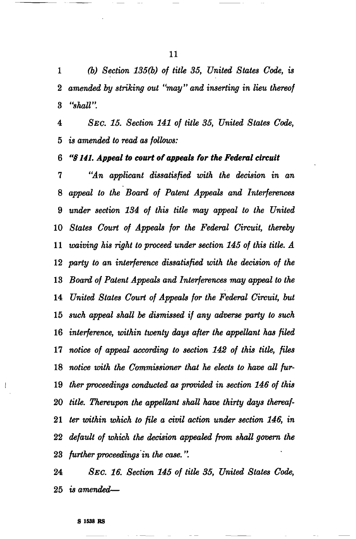*(b) Section 135(b) of title 35, United States Code, is amended by striking out "may" and inserting in lieu thereof "shall".* 

 *SEC. 15. Section 141 of title 35, United States Code, is amended to read as follows:* 

 *"§ 141. Appeal to court of appeals for the Federal circuit* 

 *"An applicant dissatisfied with the decision in an appeal to the Board of Patent Appeals and Interferences under section 134 of this title may appeal to the United States Court of Appeals for the Federal Circuit, thereby waiving his right to proceed under section 145 of this title. A party to an interference dissatisfied with the decision of the Board of Patent Appeals and Interferences may appeal to the United States Court of Appeals for the Federal Circuit, but such appeal shall be dismissed if any adverse party to such interference, within twenty days after the appellant has filed notice of appeal according to section 142 of this title, files notice with the Commissioner that he elects to have all fur- (her proceedings conducted as provided in section 146 of this title. Thereupon the appellant shall have thirty days thereaf- ter within which to file a civil action under section 146, in default of which the decision appealed from shall govern the further proceedings in the case.".* 

 *SEC. 16. Section 145 of title 35, United States Code, is amended*—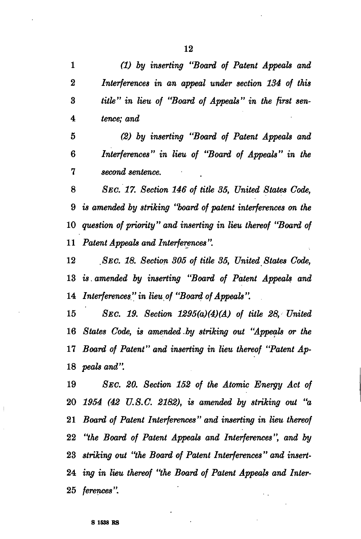*(1) by inserting "Board of Patent Appeals and Interferences in an appeal under section 134 of this title" in lieu of "Board of Appeals" in the first sen- tence; and* 

 *(2) by inserting "Board of Patent Appeals and Interferences" in lieu of "Board of Appeals" in the second sentence.* 

 *SEC. 17. Section 146 of title 35, United States Code, is amended by striking "board of patent interferences on the question of priority" and inserting in lieu thereof "Board of Patent Appeals and Interferences ".* 

 *SEC. 18. Section 305 of title 35, United States Code, is. amended by inserting "Board of Patent Appeals and Interferences" in lieu of "Board of Appeals".* 

 *SEC. 19. Section 1295(a)(4)(A) of title 28, United States Code, is amended.by striking out "Appeals or the Board of Patent" and inserting in lieu thereof "Patent Ap- peals and".* 

 *SEC. 20. Section 152 of the Atomic Energy Act of 1954 (42 U.S.C. 2182), is amended by striking out "a Board of Patent Interferences" and inserting in lieu thereof "the Board of Patent Appeals and Interferences", and by striking out "the Board of Patent Interferences" and insert- ing in lieu thereof "the Board of Patent Appeals and Inter- ferences".*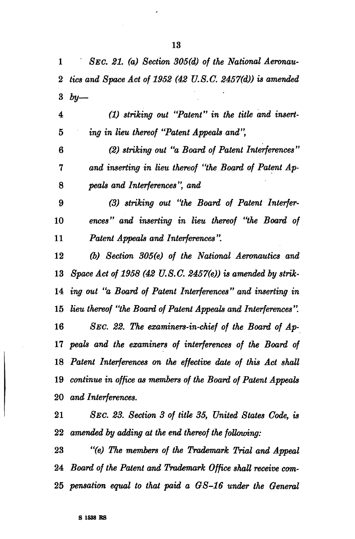*SEC. 21. (a) Section 305(d) of the National Aeronau- tics and Space Act of 1952 (42 U.S.C. 2457(d)) is amended by—* 

 *(1) striking out "Patent" in the title and insert- ing in lieu thereof "Patent Appeals and",* 

 *(2) striking out "a Board of Patent Interferences " and inserting in lieu thereof "the Board of Patent Ap- peals and Interferences ", and* 

 *(3) striking out "the Board of Patent Interfer- ences" and inserting in lieu thereof "the Board of Patent Appeals and Interferences".* 

 *(b) Section 305(e) of the National Aeronautics and Space Act of 1958 (42 U.S.C. 2457(e)) is amended by strik- ing out "a Board of Patent Interferences" and inserting in lieu thereof "the Board of Patent Appeals and Interferences ". SEC. 22. The examiners-in-chief of the Board of Ap- peals and the examiners of interferences of the Board of Patent Interferences on the effective date of this Act shall continue in office as members of the Board of Patent Appeals and Interferences.* 

 *SEC. 23. Section 3 of title 35, United States Code, is amended by adding at the end thereof the following:* 

 *"(e) The members of the Trademark Trial and Appeal Board of the Patent and Trademark Office shall receive com- pensation equal to that paid a GS-16 under the General*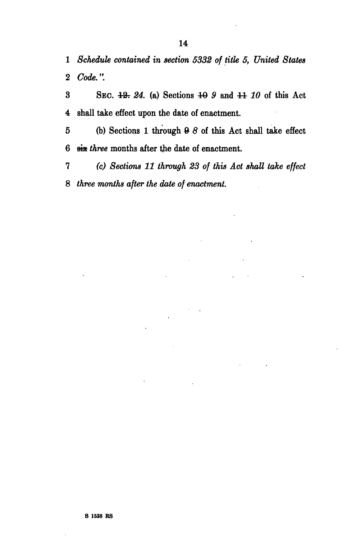1 *Schedule contained in section 5332 of title 5, United States*  2 *Code.".* 

3 SEC. 43T *24.* (a) Sections 40 *9* and 44 *10* of this Act 4 shall take effect upon the date of enactment.

5 (b) Sections 1 through 0 *8* of this Act shall take effect 6 sis *three* months after the date of enactment.

7 *(c) Sections 11 through 23 of this Act shall take effect*  8 *three months after the date of enactment.*